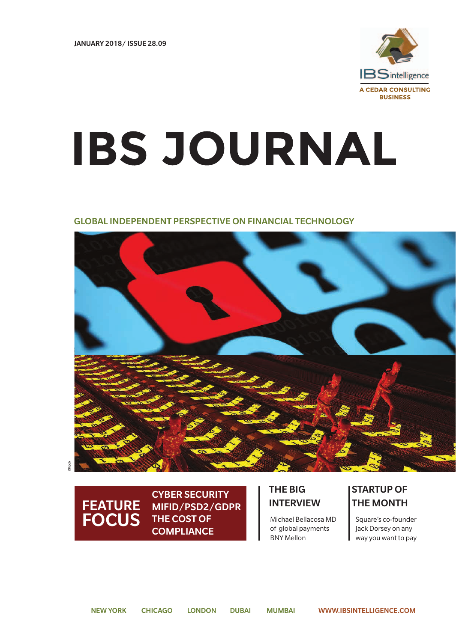

# **IBS JOURNAL**

### GLOBAL INDEPENDENT PERSPECTIVE ON FINANCIAL TECHNOLOGY



#### FEATURE FOCUS THE COST OF Michael Bellacosa MD Square's co-founder CYBER SECURITY MIFID/PSD2/GDPR THE COST OF **COMPLIANCE**

## THE BIG INTERVIEW

Michael Bellacosa MD of global payments BNY Mellon

# STARTUP OF THE MONTH

Jack Dorsey on any way you want to pay